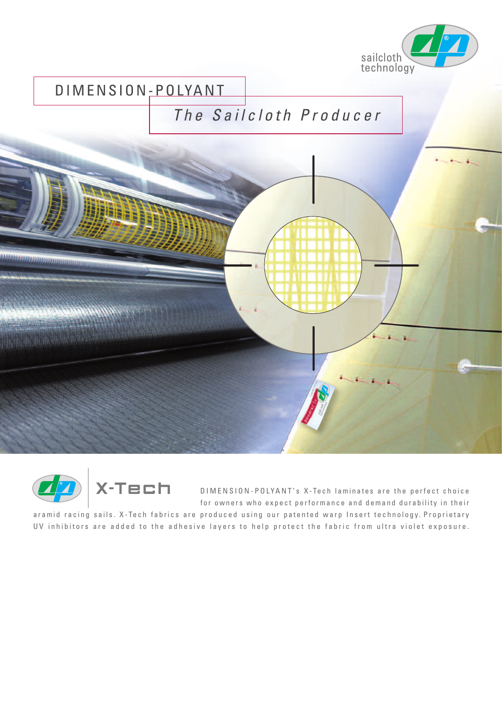

## DIMENSION-POLYANT

## *T h e S a i l c l o t h P r o d u c e r*





D I M E N S I O N - POLY A N T's X - Te ch laminates are the perfect choice for owners who expect performance and demand durability in their

aramid racing sails. X-Tech fabrics are produced using our patented warp Insert technology. Proprietary UV inhibitors are added to the adhesive layers to help protect the fabric from ultra violet exposure.